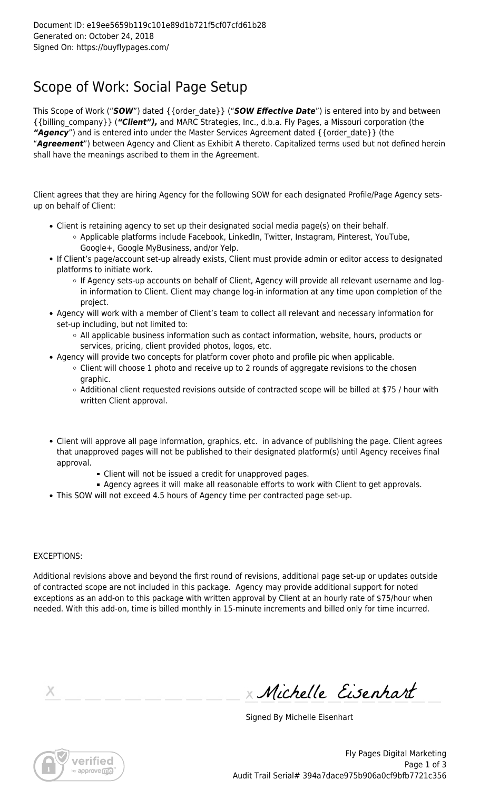## Scope of Work: Social Page Setup

This Scope of Work ("*SOW*") dated {{order\_date}} ("*SOW Effective Date*") is entered into by and between {{billing\_company}} (*"Client"),* and MARC Strategies, Inc., d.b.a. Fly Pages, a Missouri corporation (the "Agency") and is entered into under the Master Services Agreement dated { {order\_date} } (the "*Agreement*") between Agency and Client as Exhibit A thereto. Capitalized terms used but not defined herein shall have the meanings ascribed to them in the Agreement.

Client agrees that they are hiring Agency for the following SOW for each designated Profile/Page Agency setsup on behalf of Client:

- Client is retaining agency to set up their designated social media page(s) on their behalf.
	- Applicable platforms include Facebook, LinkedIn, Twitter, Instagram, Pinterest, YouTube, Google+, Google MyBusiness, and/or Yelp.
- If Client's page/account set-up already exists, Client must provide admin or editor access to designated platforms to initiate work.
	- If Agency sets-up accounts on behalf of Client, Agency will provide all relevant username and login information to Client. Client may change log-in information at any time upon completion of the project.
- Agency will work with a member of Client's team to collect all relevant and necessary information for set-up including, but not limited to:
	- All applicable business information such as contact information, website, hours, products or services, pricing, client provided photos, logos, etc.
- Agency will provide two concepts for platform cover photo and profile pic when applicable.
	- $\circ$  Client will choose 1 photo and receive up to 2 rounds of aggregate revisions to the chosen graphic.
	- $\circ$  Additional client requested revisions outside of contracted scope will be billed at \$75 / hour with written Client approval.
- Client will approve all page information, graphics, etc. in advance of publishing the page. Client agrees that unapproved pages will not be published to their designated platform(s) until Agency receives final approval.
	- Client will not be issued a credit for unapproved pages.
	- Agency agrees it will make all reasonable efforts to work with Client to get approvals.
- This SOW will not exceed 4.5 hours of Agency time per contracted page set-up.

## EXCEPTIONS:

Additional revisions above and beyond the first round of revisions, additional page set-up or updates outside of contracted scope are not included in this package. Agency may provide additional support for noted exceptions as an add-on to this package with written approval by Client at an hourly rate of \$75/hour when needed. With this add-on, time is billed monthly in 15-minute increments and billed only for time incurred.

Michelle Eisenhart

Signed By Michelle Eisenhart



Fly Pages Digital Marketing Page 1 of 3 Audit Trail Serial# 394a7dace975b906a0cf9bfb7721c356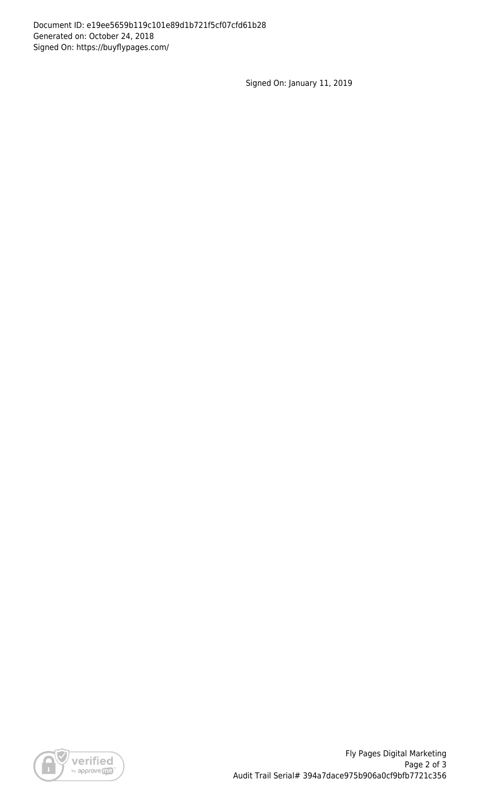Signed On: January 11, 2019